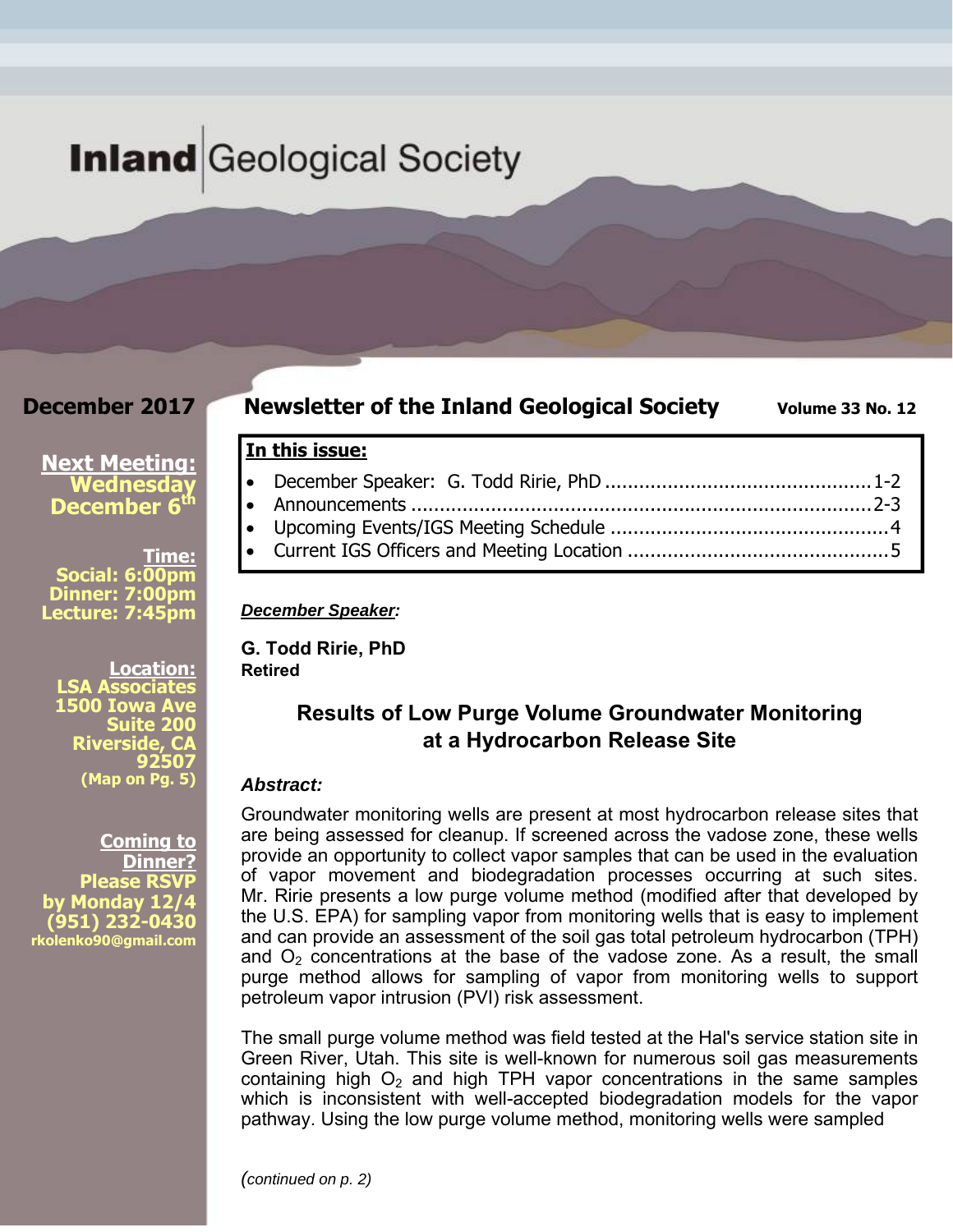## **Inland** Geological Society

#### **December 2017**

#### **Newsletter of the Inland Geological Society** Volume 33 No. 12

#### **Next Meeting: Wednesday December 6<sup>th</sup>**

**Time: Social: 6:00pm Dinner: 7:00pm Lecture: 7:45pm** 

**Location: LSA Associates 1500 Iowa Ave Suite 200 Riverside, CA 92507 (Map on Pg. 5)**

**Coming to Dinner? Please RSVP by Monday 12/4 (951) 232-0430 rkolenko90@gmail.com** 

#### **In this issue:**

 December Speaker: G. Todd Ririe, PhD ............................................... 1-2 Announcements ................................................................................. 2-3 Upcoming Events/IGS Meeting Schedule ................................................. 4 Current IGS Officers and Meeting Location .............................................. 5

#### *December Speaker:*

**G. Todd Ririe, PhD Retired** 

### **Results of Low Purge Volume Groundwater Monitoring at a Hydrocarbon Release Site**

#### *Abstract:*

Groundwater monitoring wells are present at most hydrocarbon release sites that are being assessed for cleanup. If screened across the vadose zone, these wells provide an opportunity to collect vapor samples that can be used in the evaluation of vapor movement and biodegradation processes occurring at such sites. Mr. Ririe presents a low purge volume method (modified after that developed by the U.S. EPA) for sampling vapor from monitoring wells that is easy to implement and can provide an assessment of the soil gas total petroleum hydrocarbon (TPH) and  $O<sub>2</sub>$  concentrations at the base of the vadose zone. As a result, the small purge method allows for sampling of vapor from monitoring wells to support petroleum vapor intrusion (PVI) risk assessment.

The small purge volume method was field tested at the Hal's service station site in Green River, Utah. This site is well-known for numerous soil gas measurements containing high  $O<sub>2</sub>$  and high TPH vapor concentrations in the same samples which is inconsistent with well-accepted biodegradation models for the vapor pathway. Using the low purge volume method, monitoring wells were sampled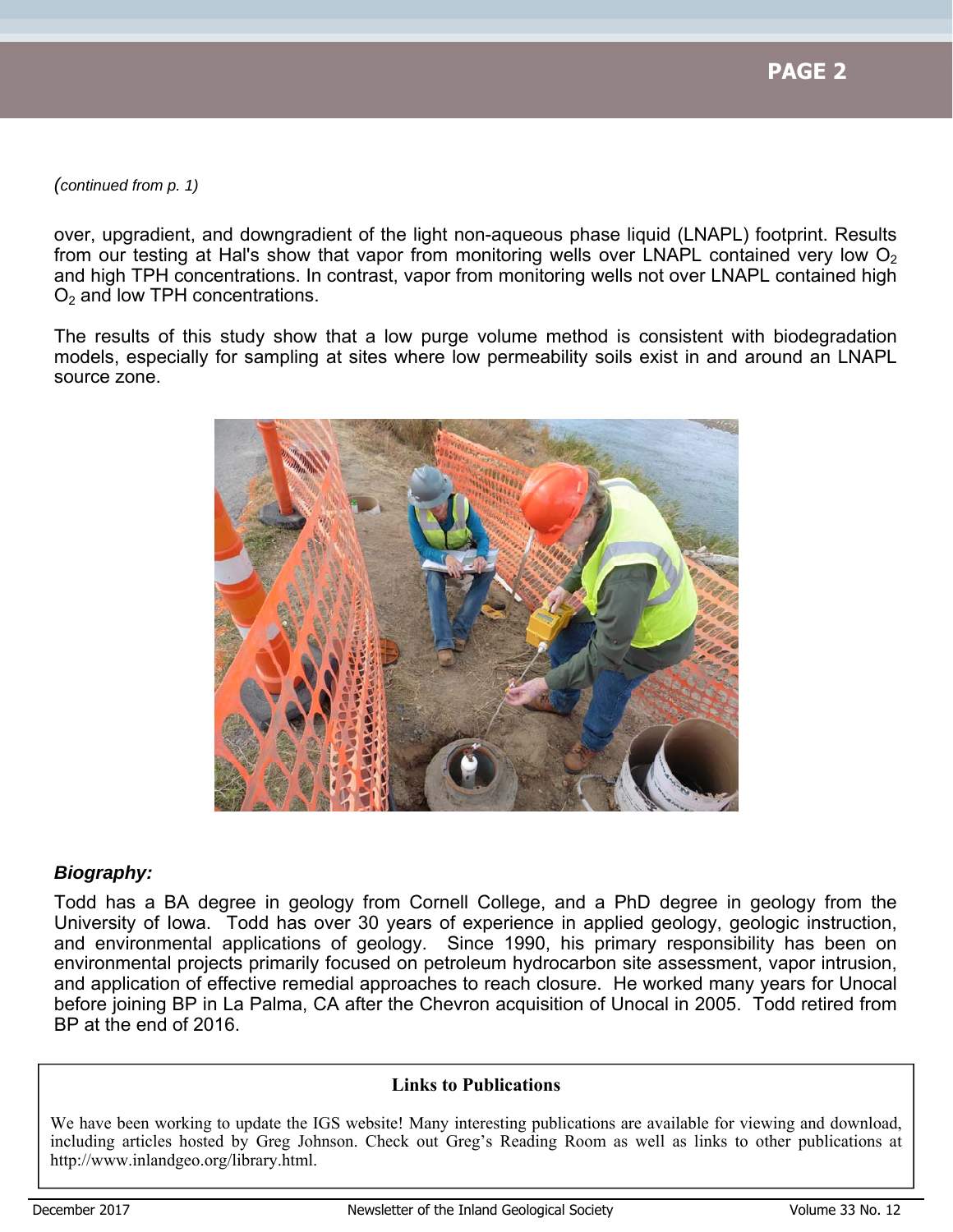*(continued from p. 1)* 

over, upgradient, and downgradient of the light non-aqueous phase liquid (LNAPL) footprint. Results from our testing at Hal's show that vapor from monitoring wells over LNAPL contained very low  $O<sub>2</sub>$ and high TPH concentrations. In contrast, vapor from monitoring wells not over LNAPL contained high  $O<sub>2</sub>$  and low TPH concentrations.

The results of this study show that a low purge volume method is consistent with biodegradation models, especially for sampling at sites where low permeability soils exist in and around an LNAPL source zone.



#### *Biography:*

Todd has a BA degree in geology from Cornell College, and a PhD degree in geology from the University of Iowa. Todd has over 30 years of experience in applied geology, geologic instruction, and environmental applications of geology. Since 1990, his primary responsibility has been on environmental projects primarily focused on petroleum hydrocarbon site assessment, vapor intrusion, and application of effective remedial approaches to reach closure. He worked many years for Unocal before joining BP in La Palma, CA after the Chevron acquisition of Unocal in 2005. Todd retired from BP at the end of 2016.

#### **Links to Publications**

We have been working to update the IGS website! Many interesting publications are available for viewing and download, including articles hosted by Greg Johnson. Check out Greg's Reading Room as well as links to other publications at http://www.inlandgeo.org/library.html.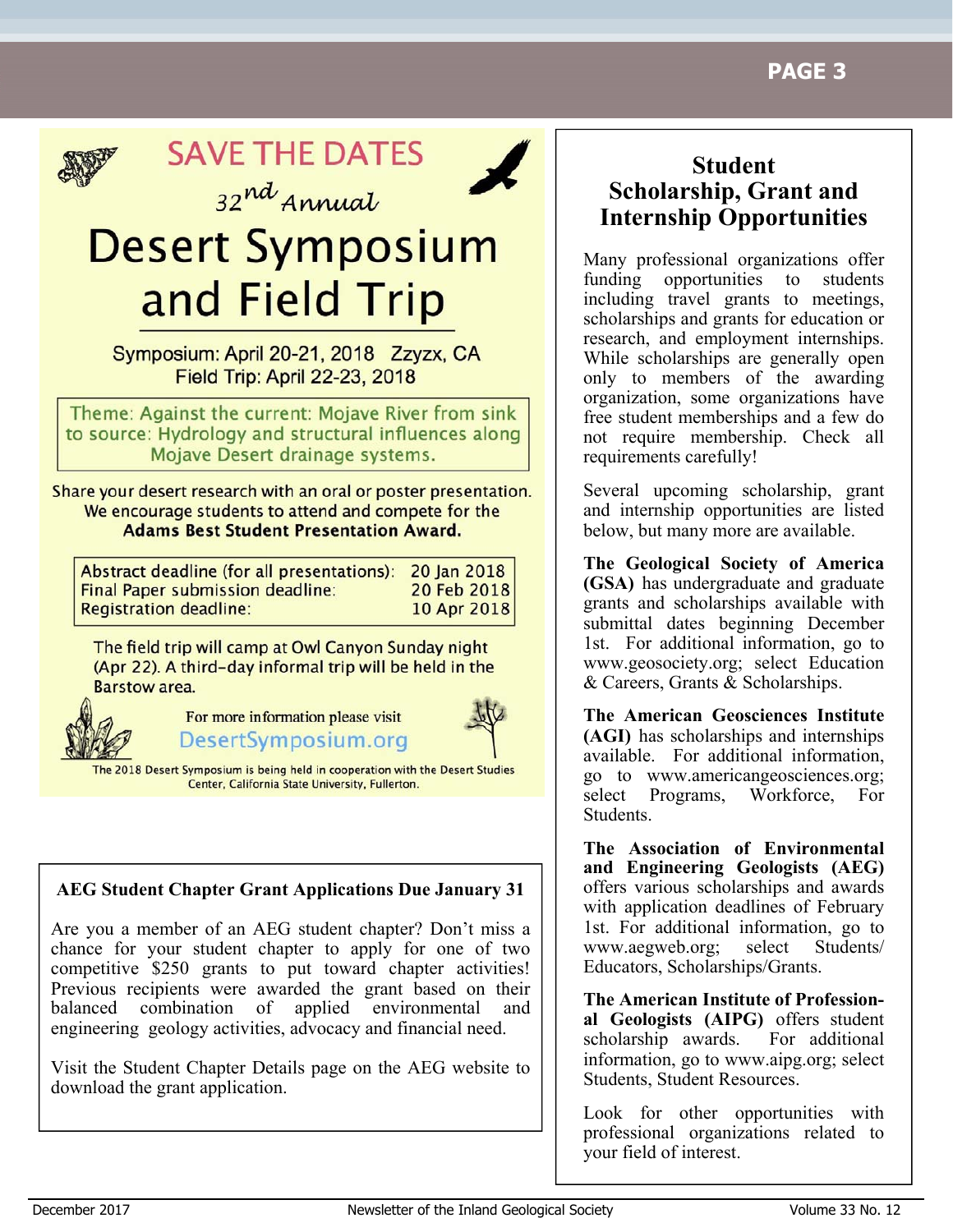

**SAVE THE DATES** 



32nd Annual **Desert Symposium** 

# and Field Trip

Symposium: April 20-21, 2018 Zzyzx, CA Field Trip: April 22-23, 2018

Theme: Against the current: Mojave River from sink to source: Hydrology and structural influences along Mojave Desert drainage systems.

Share your desert research with an oral or poster presentation. We encourage students to attend and compete for the **Adams Best Student Presentation Award.** 

| Abstract deadline (for all presentations): 20 Jan 2018 |             |
|--------------------------------------------------------|-------------|
| <b>Final Paper submission deadline:</b>                | 20 Feb 2018 |
| <b>Registration deadline:</b>                          | 10 Apr 2018 |

The field trip will camp at Owl Canyon Sunday night (Apr 22). A third-day informal trip will be held in the **Barstow area.** 



For more information please visit DesertSymposium.org



he 2018 Desert Symposium is being held in cooperation with the Desert Studies Center, California State University, Fullerton.

#### **AEG Student Chapter Grant Applications Due January 31**

Are you a member of an AEG student chapter? Don't miss a chance for your student chapter to apply for one of two competitive \$250 grants to put toward chapter activities! Previous recipients were awarded the grant based on their balanced combination of applied environmental and engineering geology activities, advocacy and financial need.

Visit the Student Chapter Details page on the AEG website to download the grant application.

### **Student Scholarship, Grant and Internship Opportunities**

Many professional organizations offer funding opportunities to students including travel grants to meetings, scholarships and grants for education or research, and employment internships. While scholarships are generally open only to members of the awarding organization, some organizations have free student memberships and a few do not require membership. Check all requirements carefully!

Several upcoming scholarship, grant and internship opportunities are listed below, but many more are available.

**The Geological Society of America (GSA)** has undergraduate and graduate grants and scholarships available with submittal dates beginning December 1st. For additional information, go to www.geosociety.org; select Education & Careers, Grants & Scholarships.

**The American Geosciences Institute (AGI)** has scholarships and internships available. For additional information, go to www.americangeosciences.org; select Programs, Workforce, For Students.

**The Association of Environmental and Engineering Geologists (AEG)**  offers various scholarships and awards with application deadlines of February 1st. For additional information, go to www.aegweb.org; select Students/ Educators, Scholarships/Grants.

**The American Institute of Professional Geologists (AIPG)** offers student scholarship awards. For additional information, go to www.aipg.org; select Students, Student Resources.

Look for other opportunities with professional organizations related to your field of interest.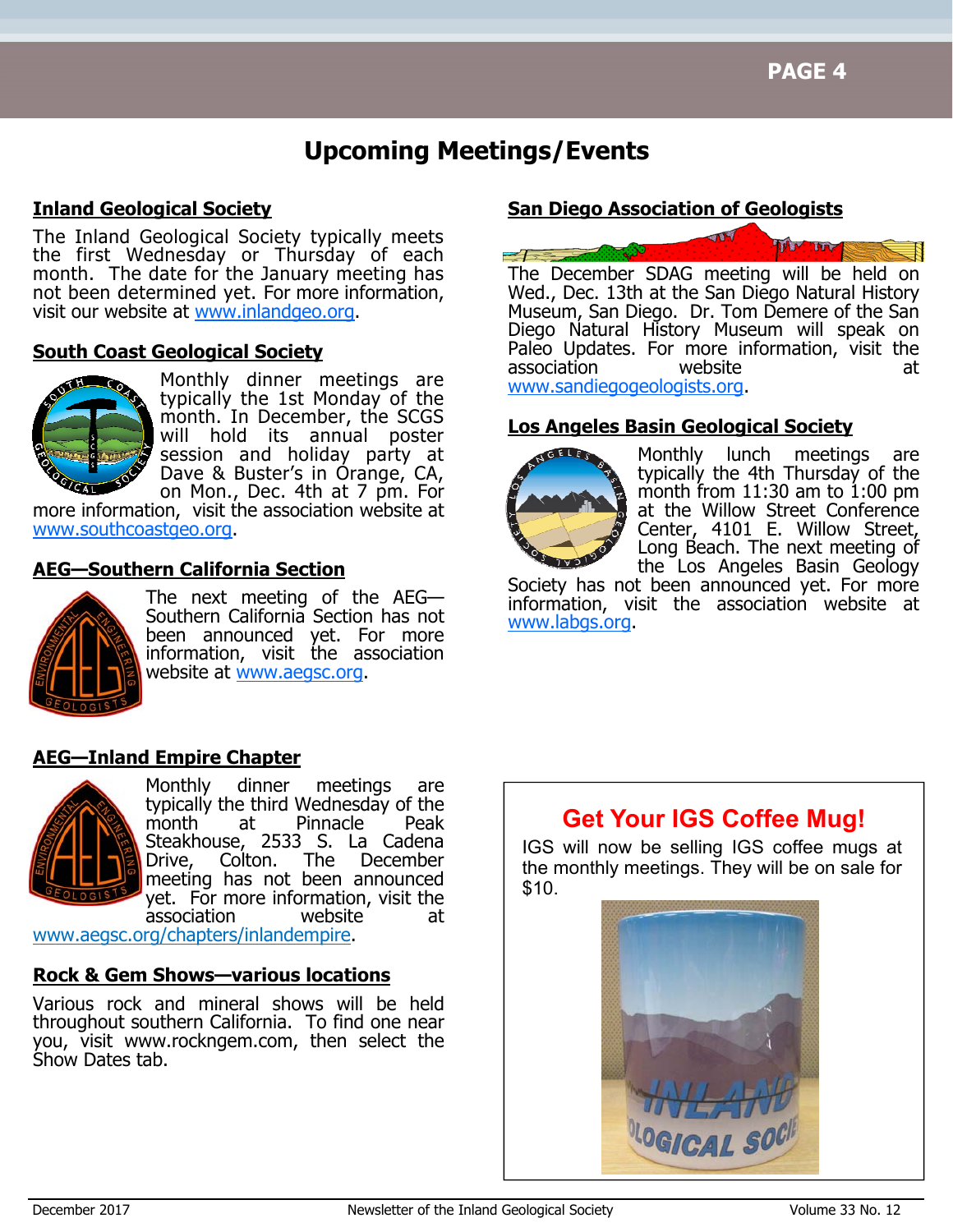### **Upcoming Meetings/Events**

#### **Inland Geological Society**

The Inland Geological Society typically meets the first Wednesday or Thursday of each month. The date for the January meeting has not been determined yet. For more information, visit our website at www.inlandgeo.org.

#### **South Coast Geological Society**



Monthly dinner meetings are typically the 1st Monday of the month. In December, the SCGS will hold its annual poster session and holiday party at Dave & Buster's in Orange, CA, on Mon., Dec. 4th at 7 pm. For

more information, visit the association website at www.southcoastgeo.org.

#### **AEG—Southern California Section**



The next meeting of the AEG— Southern California Section has not been announced yet. For more information, visit the association website at www.aegsc.org.

#### **AEG—Inland Empire Chapter**



Monthly dinner meetings are typically the third Wednesday of the month at Pinnacle Peak Steakhouse, 2533 S. La Cadena Drive, Colton. The December meeting has not been announced yet. For more information, visit the association website at

www.aegsc.org/chapters/inlandempire.

#### **Rock & Gem Shows—various locations**

Various rock and mineral shows will be held throughout southern California. To find one near you, visit www.rockngem.com, then select the Show Dates tab.

#### **San Diego Association of Geologists**



Wed., Dec. 13th at the San Diego Natural History Museum, San Diego. Dr. Tom Demere of the San Diego Natural History Museum will speak on Paleo Updates. For more information, visit the association website at www.sandiegogeologists.org.

#### **Los Angeles Basin Geological Society**



Monthly lunch meetings are typically the 4th Thursday of the month from  $11:30$  am to  $1:00$  pm at the Willow Street Conference Center, 4101 E. Willow Street, Long Beach. The next meeting of the Los Angeles Basin Geology

Society has not been announced yet. For more information, visit the association website at www.labgs.org.

### **Get Your IGS Coffee Mug!**

IGS will now be selling IGS coffee mugs at the monthly meetings. They will be on sale for \$10.